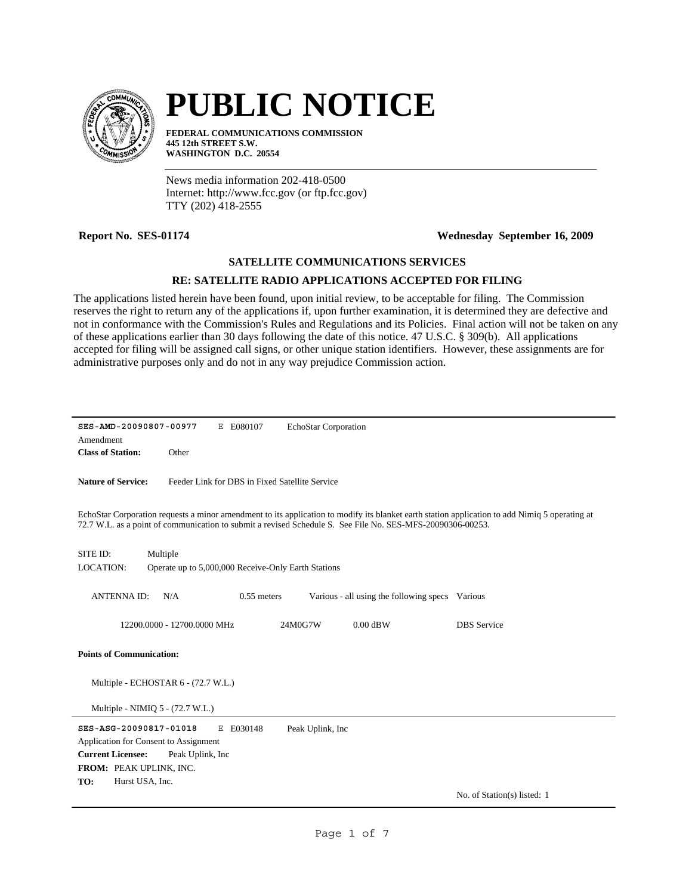

# **PUBLIC NOTICE**

**FEDERAL COMMUNICATIONS COMMISSION 445 12th STREET S.W. WASHINGTON D.C. 20554**

News media information 202-418-0500 Internet: http://www.fcc.gov (or ftp.fcc.gov) TTY (202) 418-2555

## **Report No. SES-01174 Wednesday September 16, 2009**

### **SATELLITE COMMUNICATIONS SERVICES**

# **RE: SATELLITE RADIO APPLICATIONS ACCEPTED FOR FILING**

The applications listed herein have been found, upon initial review, to be acceptable for filing. The Commission reserves the right to return any of the applications if, upon further examination, it is determined they are defective and not in conformance with the Commission's Rules and Regulations and its Policies. Final action will not be taken on any of these applications earlier than 30 days following the date of this notice. 47 U.S.C. § 309(b). All applications accepted for filing will be assigned call signs, or other unique station identifiers. However, these assignments are for administrative purposes only and do not in any way prejudice Commission action.

| SES-AMD-20090807-00977<br>Amendment                                                                                                                                                                                                                          |                                                     | E E080107     | EchoStar Corporation |                                         |                             |  |  |  |
|--------------------------------------------------------------------------------------------------------------------------------------------------------------------------------------------------------------------------------------------------------------|-----------------------------------------------------|---------------|----------------------|-----------------------------------------|-----------------------------|--|--|--|
| <b>Class of Station:</b>                                                                                                                                                                                                                                     | Other                                               |               |                      |                                         |                             |  |  |  |
| <b>Nature of Service:</b>                                                                                                                                                                                                                                    | Feeder Link for DBS in Fixed Satellite Service      |               |                      |                                         |                             |  |  |  |
| EchoStar Corporation requests a minor amendment to its application to modify its blanket earth station application to add Nimiq 5 operating at<br>72.7 W.L. as a point of communication to submit a revised Schedule S. See File No. SES-MFS-20090306-00253. |                                                     |               |                      |                                         |                             |  |  |  |
| SITE ID:<br>Multiple<br><b>LOCATION:</b>                                                                                                                                                                                                                     | Operate up to 5,000,000 Receive-Only Earth Stations |               |                      |                                         |                             |  |  |  |
| <b>ANTENNAID:</b>                                                                                                                                                                                                                                            | N/A                                                 | $0.55$ meters |                      | Various - all using the following specs | Various                     |  |  |  |
|                                                                                                                                                                                                                                                              | 12200.0000 - 12700.0000 MHz                         |               | 24M0G7W              | $0.00$ dBW                              | <b>DBS</b> Service          |  |  |  |
| <b>Points of Communication:</b>                                                                                                                                                                                                                              |                                                     |               |                      |                                         |                             |  |  |  |
| Multiple - ECHOSTAR 6 - (72.7 W.L.)                                                                                                                                                                                                                          |                                                     |               |                      |                                         |                             |  |  |  |
| Multiple - NIMIQ $5 - (72.7 W.L.)$                                                                                                                                                                                                                           |                                                     |               |                      |                                         |                             |  |  |  |
| SES-ASG-20090817-01018                                                                                                                                                                                                                                       |                                                     | E E030148     | Peak Uplink, Inc.    |                                         |                             |  |  |  |
| Application for Consent to Assignment                                                                                                                                                                                                                        |                                                     |               |                      |                                         |                             |  |  |  |
| <b>Current Licensee:</b>                                                                                                                                                                                                                                     | Peak Uplink, Inc.                                   |               |                      |                                         |                             |  |  |  |
| FROM: PEAK UPLINK, INC.                                                                                                                                                                                                                                      |                                                     |               |                      |                                         |                             |  |  |  |
| TO:<br>Hurst USA, Inc.                                                                                                                                                                                                                                       |                                                     |               |                      |                                         |                             |  |  |  |
|                                                                                                                                                                                                                                                              |                                                     |               |                      |                                         | No. of Station(s) listed: 1 |  |  |  |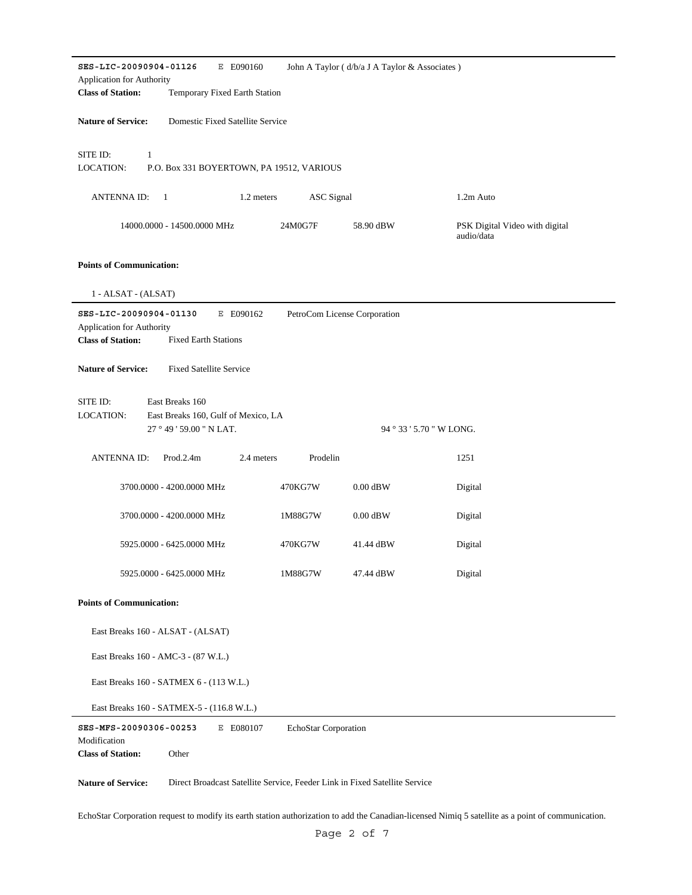| SES-LIC-20090904-01126<br>E E090160                                                                                                     |                                           | John A Taylor (d/b/a J A Taylor & Associates) |                                              |  |  |  |  |  |
|-----------------------------------------------------------------------------------------------------------------------------------------|-------------------------------------------|-----------------------------------------------|----------------------------------------------|--|--|--|--|--|
| Application for Authority<br>Temporary Fixed Earth Station<br><b>Class of Station:</b>                                                  |                                           |                                               |                                              |  |  |  |  |  |
| <b>Nature of Service:</b>                                                                                                               | Domestic Fixed Satellite Service          |                                               |                                              |  |  |  |  |  |
| SITE ID:<br>1<br>LOCATION:                                                                                                              | P.O. Box 331 BOYERTOWN, PA 19512, VARIOUS |                                               |                                              |  |  |  |  |  |
| ANTENNA ID:<br>1.2 meters<br>$\mathbf{1}$                                                                                               | <b>ASC</b> Signal                         |                                               | 1.2m Auto                                    |  |  |  |  |  |
| 14000.0000 - 14500.0000 MHz                                                                                                             | 24M0G7F                                   | 58.90 dBW                                     | PSK Digital Video with digital<br>audio/data |  |  |  |  |  |
| <b>Points of Communication:</b>                                                                                                         |                                           |                                               |                                              |  |  |  |  |  |
| $1 - ALSAT - (ALSAT)$                                                                                                                   |                                           |                                               |                                              |  |  |  |  |  |
| SES-LIC-20090904-01130<br>E E090162<br>Application for Authority                                                                        | PetroCom License Corporation              |                                               |                                              |  |  |  |  |  |
| <b>Class of Station:</b><br><b>Fixed Earth Stations</b>                                                                                 |                                           |                                               |                                              |  |  |  |  |  |
| <b>Fixed Satellite Service</b><br><b>Nature of Service:</b>                                                                             |                                           |                                               |                                              |  |  |  |  |  |
| SITE ID:<br>East Breaks 160<br>LOCATION:<br>East Breaks 160, Gulf of Mexico, LA<br>27 ° 49 ' 59.00 " N LAT.<br>94 ° 33 ' 5.70 " W LONG. |                                           |                                               |                                              |  |  |  |  |  |
| Prod.2.4m<br><b>ANTENNA ID:</b><br>2.4 meters                                                                                           | Prodelin                                  |                                               | 1251                                         |  |  |  |  |  |
| 3700.0000 - 4200.0000 MHz                                                                                                               | 470KG7W                                   | $0.00$ dBW                                    | Digital                                      |  |  |  |  |  |
| 3700.0000 - 4200.0000 MHz                                                                                                               | 1M88G7W                                   | $0.00$ dBW                                    | Digital                                      |  |  |  |  |  |
| 5925.0000 - 6425.0000 MHz                                                                                                               | 470KG7W                                   | 41.44 dBW                                     | Digital                                      |  |  |  |  |  |
| 5925.0000 - 6425.0000 MHz                                                                                                               | 1M88G7W                                   |                                               |                                              |  |  |  |  |  |
|                                                                                                                                         |                                           | 47.44 dBW                                     | Digital                                      |  |  |  |  |  |
| <b>Points of Communication:</b>                                                                                                         |                                           |                                               |                                              |  |  |  |  |  |
| East Breaks 160 - ALSAT - (ALSAT)                                                                                                       |                                           |                                               |                                              |  |  |  |  |  |
| East Breaks 160 - AMC-3 - (87 W.L.)                                                                                                     |                                           |                                               |                                              |  |  |  |  |  |
| East Breaks 160 - SATMEX 6 - (113 W.L.)                                                                                                 |                                           |                                               |                                              |  |  |  |  |  |
| East Breaks 160 - SATMEX-5 - (116.8 W.L.)                                                                                               |                                           |                                               |                                              |  |  |  |  |  |
| SES-MFS-20090306-00253<br>E E080107                                                                                                     | EchoStar Corporation                      |                                               |                                              |  |  |  |  |  |
| Modification<br><b>Class of Station:</b><br>Other                                                                                       |                                           |                                               |                                              |  |  |  |  |  |

EchoStar Corporation request to modify its earth station authorization to add the Canadian-licensed Nimiq 5 satellite as a point of communication.

Page 2 of 7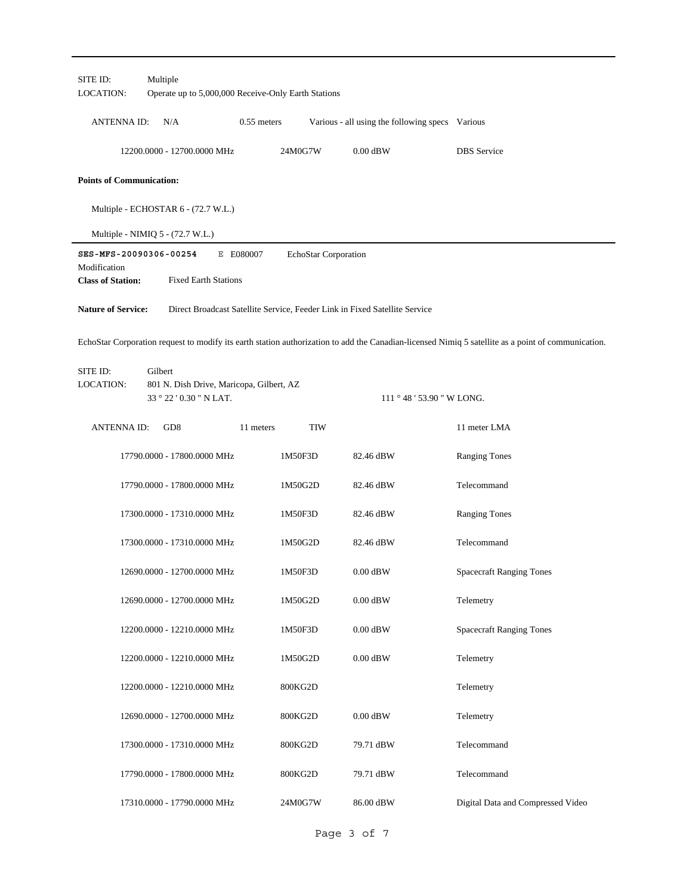| SITE ID:<br>LOCATION:                                              | Multiple<br>Operate up to 5,000,000 Receive-Only Earth Stations                |               |                      |                                                                            |                                                                                                                                                    |
|--------------------------------------------------------------------|--------------------------------------------------------------------------------|---------------|----------------------|----------------------------------------------------------------------------|----------------------------------------------------------------------------------------------------------------------------------------------------|
| <b>ANTENNA ID:</b>                                                 | N/A                                                                            | $0.55$ meters |                      | Various - all using the following specs Various                            |                                                                                                                                                    |
|                                                                    | 12200.0000 - 12700.0000 MHz                                                    |               | 24M0G7W              | $0.00\ \mathrm{dBW}$                                                       | <b>DBS</b> Service                                                                                                                                 |
| <b>Points of Communication:</b>                                    |                                                                                |               |                      |                                                                            |                                                                                                                                                    |
|                                                                    | Multiple - ECHOSTAR 6 - (72.7 W.L.)                                            |               |                      |                                                                            |                                                                                                                                                    |
|                                                                    | Multiple - NIMIQ $5 - (72.7 W.L.)$                                             |               |                      |                                                                            |                                                                                                                                                    |
| SES-MFS-20090306-00254<br>Modification<br><b>Class of Station:</b> | <b>Fixed Earth Stations</b>                                                    | E E080007     | EchoStar Corporation |                                                                            |                                                                                                                                                    |
| <b>Nature of Service:</b>                                          |                                                                                |               |                      | Direct Broadcast Satellite Service, Feeder Link in Fixed Satellite Service |                                                                                                                                                    |
|                                                                    |                                                                                |               |                      |                                                                            | EchoStar Corporation request to modify its earth station authorization to add the Canadian-licensed Nimiq 5 satellite as a point of communication. |
| SITE ID:<br><b>LOCATION:</b>                                       | Gilbert<br>801 N. Dish Drive, Maricopa, Gilbert, AZ<br>33 ° 22 ' 0.30 " N LAT. |               |                      | $111 \degree 48 \degree 53.90 \degree W$ LONG.                             |                                                                                                                                                    |
| <b>ANTENNA ID:</b>                                                 | GD <sub>8</sub>                                                                | 11 meters     | <b>TIW</b>           |                                                                            | 11 meter LMA                                                                                                                                       |
|                                                                    | 17790.0000 - 17800.0000 MHz                                                    |               | 1M50F3D              | 82.46 dBW                                                                  | <b>Ranging Tones</b>                                                                                                                               |
|                                                                    | 17790.0000 - 17800.0000 MHz                                                    |               | 1M50G2D              | 82.46 dBW                                                                  | Telecommand                                                                                                                                        |
|                                                                    | 17300.0000 - 17310.0000 MHz                                                    |               | 1M50F3D              | 82.46 dBW                                                                  | <b>Ranging Tones</b>                                                                                                                               |
|                                                                    | 17300.0000 - 17310.0000 MHz                                                    |               | 1M50G2D              | 82.46 dBW                                                                  | Telecommand                                                                                                                                        |
|                                                                    | 12690.0000 - 12700.0000 MHz                                                    |               | 1M50F3D              | $0.00$ dBW                                                                 | <b>Spacecraft Ranging Tones</b>                                                                                                                    |
|                                                                    | 12690.0000 - 12700.0000 MHz                                                    |               | 1M50G2D              | $0.00$ dBW                                                                 | Telemetry                                                                                                                                          |
|                                                                    | 12200.0000 - 12210.0000 MHz                                                    |               | 1M50F3D              | $0.00$ dBW                                                                 | <b>Spacecraft Ranging Tones</b>                                                                                                                    |
|                                                                    | 12200.0000 - 12210.0000 MHz                                                    |               | 1M50G2D              | $0.00$ dBW                                                                 | Telemetry                                                                                                                                          |
|                                                                    | 12200.0000 - 12210.0000 MHz                                                    |               | 800KG2D              |                                                                            | Telemetry                                                                                                                                          |
|                                                                    | 12690.0000 - 12700.0000 MHz                                                    |               | 800KG2D              | $0.00$ dBW                                                                 | Telemetry                                                                                                                                          |
|                                                                    | 17300.0000 - 17310.0000 MHz                                                    |               | 800KG2D              | 79.71 dBW                                                                  | Telecommand                                                                                                                                        |
|                                                                    | 17790.0000 - 17800.0000 MHz                                                    |               | 800KG2D              | 79.71 dBW                                                                  | Telecommand                                                                                                                                        |
|                                                                    | 17310.0000 - 17790.0000 MHz                                                    |               | 24M0G7W              | 86.00 dBW                                                                  | Digital Data and Compressed Video                                                                                                                  |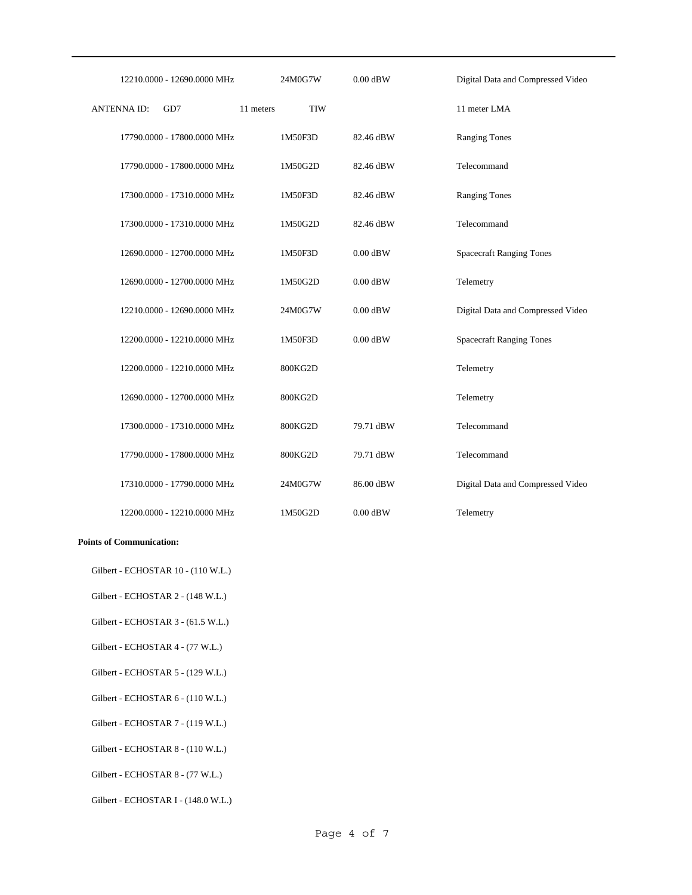| 12210.0000 - 12690.0000 MHz | 24M0G7W                 | $0.00$ dBW | Digital Data and Compressed Video |
|-----------------------------|-------------------------|------------|-----------------------------------|
| <b>ANTENNA ID:</b><br>GD7   | <b>TIW</b><br>11 meters |            | 11 meter LMA                      |
| 17790.0000 - 17800.0000 MHz | 1M50F3D                 | 82.46 dBW  | <b>Ranging Tones</b>              |
| 17790.0000 - 17800.0000 MHz | 1M50G2D                 | 82.46 dBW  | Telecommand                       |
| 17300.0000 - 17310.0000 MHz | 1M50F3D                 | 82.46 dBW  | <b>Ranging Tones</b>              |
| 17300.0000 - 17310.0000 MHz | 1M50G2D                 | 82.46 dBW  | Telecommand                       |
| 12690.0000 - 12700.0000 MHz | 1M50F3D                 | $0.00$ dBW | <b>Spacecraft Ranging Tones</b>   |
| 12690.0000 - 12700.0000 MHz | 1M50G2D                 | $0.00$ dBW | Telemetry                         |
| 12210.0000 - 12690.0000 MHz | 24M0G7W                 | $0.00$ dBW | Digital Data and Compressed Video |
| 12200.0000 - 12210.0000 MHz | 1M50F3D                 | $0.00$ dBW | <b>Spacecraft Ranging Tones</b>   |
| 12200.0000 - 12210.0000 MHz | 800KG2D                 |            | Telemetry                         |
| 12690.0000 - 12700.0000 MHz | 800KG2D                 |            | Telemetry                         |
| 17300.0000 - 17310.0000 MHz | 800KG2D                 | 79.71 dBW  | Telecommand                       |
| 17790.0000 - 17800.0000 MHz | 800KG2D                 | 79.71 dBW  | Telecommand                       |
| 17310.0000 - 17790.0000 MHz | 24M0G7W                 | 86.00 dBW  | Digital Data and Compressed Video |
| 12200.0000 - 12210.0000 MHz | 1M50G2D                 | $0.00$ dBW | Telemetry                         |

#### **Points of Communication:**

Gilbert - ECHOSTAR 10 - (110 W.L.)

Gilbert - ECHOSTAR 2 - (148 W.L.)

Gilbert - ECHOSTAR 3 - (61.5 W.L.)

Gilbert - ECHOSTAR 4 - (77 W.L.)

Gilbert - ECHOSTAR 5 - (129 W.L.)

Gilbert - ECHOSTAR 6 - (110 W.L.)

Gilbert - ECHOSTAR 7 - (119 W.L.)

Gilbert - ECHOSTAR 8 - (110 W.L.)

Gilbert - ECHOSTAR 8 - (77 W.L.)

Gilbert - ECHOSTAR I - (148.0 W.L.)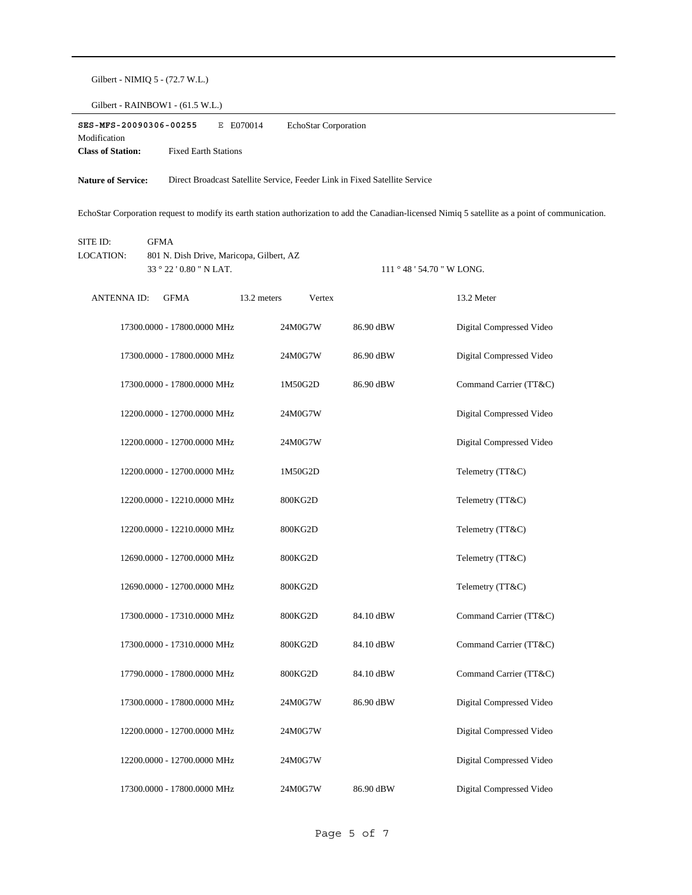| Gilbert - NIMIQ 5 - (72.7 W.L.) |  |  |  |
|---------------------------------|--|--|--|
|---------------------------------|--|--|--|

Gilbert - RAINBOW1 - (61.5 W.L.)

| SES-MFS-20090306-00255    |                             | E E070014 | <b>EchoStar Corporation</b>                                                |
|---------------------------|-----------------------------|-----------|----------------------------------------------------------------------------|
| Modification              |                             |           |                                                                            |
| <b>Class of Station:</b>  | <b>Fixed Earth Stations</b> |           |                                                                            |
|                           |                             |           |                                                                            |
| <b>Nature of Service:</b> |                             |           | Direct Broadcast Satellite Service, Feeder Link in Fixed Satellite Service |

EchoStar Corporation request to modify its earth station authorization to add the Canadian-licensed Nimiq 5 satellite as a point of communication.

| SITE ID:<br>LOCATION: | <b>GFMA</b><br>801 N. Dish Drive, Maricopa, Gilbert, AZ<br>33 ° 22 ' 0.80 " N LAT. |                       |           | 111 ° 48 ' 54.70 " W LONG. |
|-----------------------|------------------------------------------------------------------------------------|-----------------------|-----------|----------------------------|
| <b>ANTENNAID:</b>     | <b>GFMA</b>                                                                        | 13.2 meters<br>Vertex |           | 13.2 Meter                 |
|                       | 17300.0000 - 17800.0000 MHz                                                        | 24M0G7W               | 86.90 dBW | Digital Compressed Video   |
|                       | 17300.0000 - 17800.0000 MHz                                                        | 24M0G7W               | 86.90 dBW | Digital Compressed Video   |
|                       | 17300.0000 - 17800.0000 MHz                                                        | 1M50G2D               | 86.90 dBW | Command Carrier (TT&C)     |
|                       | 12200.0000 - 12700.0000 MHz                                                        | 24M0G7W               |           | Digital Compressed Video   |
|                       | 12200.0000 - 12700.0000 MHz                                                        | 24M0G7W               |           | Digital Compressed Video   |
|                       | 12200.0000 - 12700.0000 MHz                                                        | 1M50G2D               |           | Telemetry (TT&C)           |
|                       | 12200.0000 - 12210.0000 MHz                                                        | 800KG2D               |           | Telemetry (TT&C)           |
|                       | 12200.0000 - 12210.0000 MHz                                                        | 800KG2D               |           | Telemetry (TT&C)           |
|                       | 12690.0000 - 12700.0000 MHz                                                        | 800KG2D               |           | Telemetry (TT&C)           |
|                       | 12690.0000 - 12700.0000 MHz                                                        | 800KG2D               |           | Telemetry (TT&C)           |
|                       | 17300.0000 - 17310.0000 MHz                                                        | 800KG2D               | 84.10 dBW | Command Carrier (TT&C)     |
|                       | 17300.0000 - 17310.0000 MHz                                                        | 800KG2D               | 84.10 dBW | Command Carrier (TT&C)     |
|                       | 17790.0000 - 17800.0000 MHz                                                        | 800KG2D               | 84.10 dBW | Command Carrier (TT&C)     |
|                       | 17300.0000 - 17800.0000 MHz                                                        | 24M0G7W               | 86.90 dBW | Digital Compressed Video   |
|                       | 12200.0000 - 12700.0000 MHz                                                        | 24M0G7W               |           | Digital Compressed Video   |
|                       | 12200.0000 - 12700.0000 MHz                                                        | 24M0G7W               |           | Digital Compressed Video   |
|                       | 17300.0000 - 17800.0000 MHz                                                        | 24M0G7W               | 86.90 dBW | Digital Compressed Video   |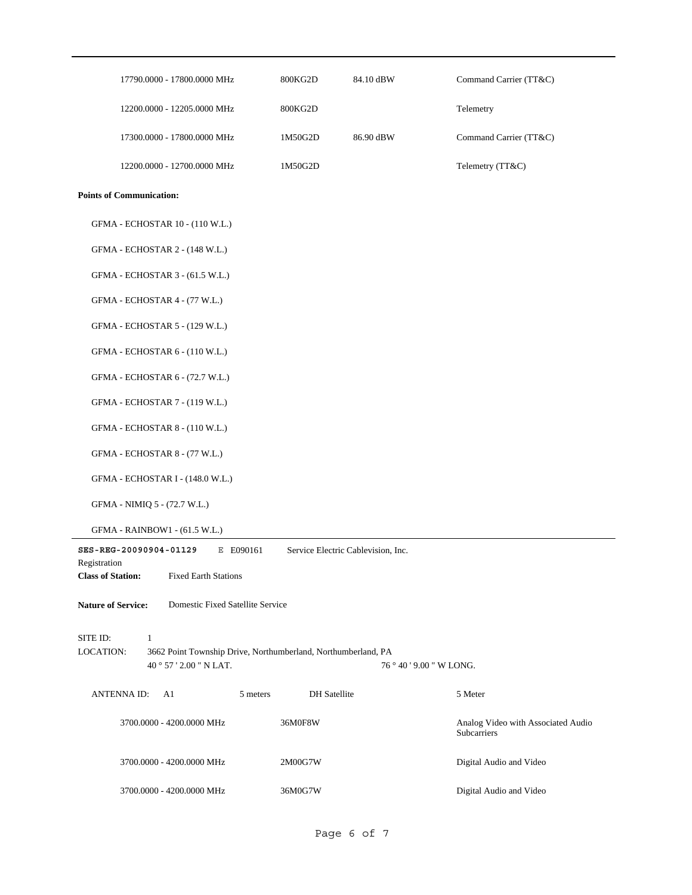| 17790.0000 - 17800.0000 MHz                                                                                                                                | 800KG2D             | 84.10 dBW                          | Command Carrier (TT&C)                            |  |  |  |
|------------------------------------------------------------------------------------------------------------------------------------------------------------|---------------------|------------------------------------|---------------------------------------------------|--|--|--|
| 12200.0000 - 12205.0000 MHz                                                                                                                                | 800KG2D             |                                    | Telemetry                                         |  |  |  |
| 17300.0000 - 17800.0000 MHz                                                                                                                                | 1M50G2D             | 86.90 dBW                          | Command Carrier (TT&C)                            |  |  |  |
| 12200.0000 - 12700.0000 MHz                                                                                                                                | 1M50G2D             |                                    | Telemetry (TT&C)                                  |  |  |  |
| <b>Points of Communication:</b>                                                                                                                            |                     |                                    |                                                   |  |  |  |
| GFMA - ECHOSTAR 10 - (110 W.L.)                                                                                                                            |                     |                                    |                                                   |  |  |  |
| GFMA - ECHOSTAR 2 - (148 W.L.)                                                                                                                             |                     |                                    |                                                   |  |  |  |
| GFMA - ECHOSTAR 3 - (61.5 W.L.)                                                                                                                            |                     |                                    |                                                   |  |  |  |
| GFMA - ECHOSTAR 4 - (77 W.L.)                                                                                                                              |                     |                                    |                                                   |  |  |  |
| GFMA - ECHOSTAR 5 - (129 W.L.)                                                                                                                             |                     |                                    |                                                   |  |  |  |
| GFMA - ECHOSTAR 6 - (110 W.L.)                                                                                                                             |                     |                                    |                                                   |  |  |  |
| GFMA - ECHOSTAR 6 - (72.7 W.L.)                                                                                                                            |                     |                                    |                                                   |  |  |  |
| GFMA - ECHOSTAR 7 - (119 W.L.)                                                                                                                             |                     |                                    |                                                   |  |  |  |
| GFMA - ECHOSTAR 8 - (110 W.L.)                                                                                                                             |                     |                                    |                                                   |  |  |  |
| GFMA - ECHOSTAR 8 - (77 W.L.)                                                                                                                              |                     |                                    |                                                   |  |  |  |
| GFMA - ECHOSTAR I - (148.0 W.L.)                                                                                                                           |                     |                                    |                                                   |  |  |  |
| GFMA - NIMIQ 5 - (72.7 W.L.)                                                                                                                               |                     |                                    |                                                   |  |  |  |
| GFMA - RAINBOW1 - (61.5 W.L.)                                                                                                                              |                     |                                    |                                                   |  |  |  |
| SES-REG-20090904-01129<br>E E090161<br>Registration<br><b>Class of Station:</b><br><b>Fixed Earth Stations</b>                                             |                     | Service Electric Cablevision, Inc. |                                                   |  |  |  |
| Domestic Fixed Satellite Service<br><b>Nature of Service:</b>                                                                                              |                     |                                    |                                                   |  |  |  |
| SITE ID:<br>$\mathbf{1}$<br>LOCATION:<br>3662 Point Township Drive, Northumberland, Northumberland, PA<br>40° 57' 2.00" N LAT.<br>76 ° 40 ' 9.00 " W LONG. |                     |                                    |                                                   |  |  |  |
| <b>ANTENNA ID:</b><br>5 meters<br>A1                                                                                                                       | <b>DH</b> Satellite |                                    | 5 Meter                                           |  |  |  |
| 3700.0000 - 4200.0000 MHz                                                                                                                                  | 36M0F8W             |                                    | Analog Video with Associated Audio<br>Subcarriers |  |  |  |
| 3700.0000 - 4200.0000 MHz                                                                                                                                  | 2M00G7W             |                                    | Digital Audio and Video                           |  |  |  |
| 3700.0000 - 4200.0000 MHz                                                                                                                                  | 36M0G7W             |                                    | Digital Audio and Video                           |  |  |  |